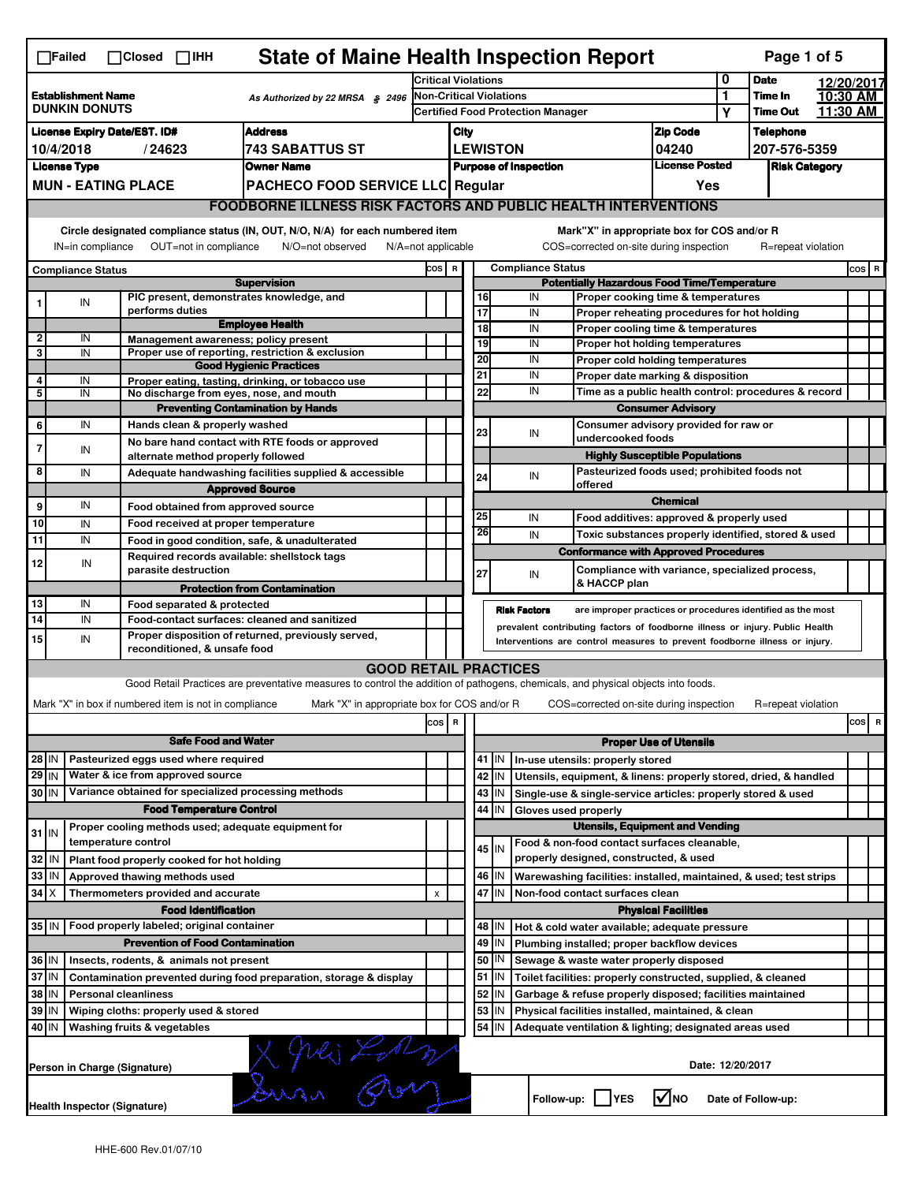|                                                                                           | $\Box$ Failed                                                                           |                             |                                                                                                                                                                                    | $\Box$ Closed $\Box$ IHH                                                                                   |                            | <b>State of Maine Health Inspection Report</b>                                                                                    |                                              |                                                                            |                  |                                                    |                      |                     |                                             |                                                                                                                                  |                               |                      | Page 1 of 5        |  |         |
|-------------------------------------------------------------------------------------------|-----------------------------------------------------------------------------------------|-----------------------------|------------------------------------------------------------------------------------------------------------------------------------------------------------------------------------|------------------------------------------------------------------------------------------------------------|----------------------------|-----------------------------------------------------------------------------------------------------------------------------------|----------------------------------------------|----------------------------------------------------------------------------|------------------|----------------------------------------------------|----------------------|---------------------|---------------------------------------------|----------------------------------------------------------------------------------------------------------------------------------|-------------------------------|----------------------|--------------------|--|---------|
| <b>Establishment Name</b>                                                                 |                                                                                         |                             |                                                                                                                                                                                    |                                                                                                            | <b>Critical Violations</b> |                                                                                                                                   |                                              |                                                                            | 0<br><b>Date</b> |                                                    |                      | 12/20/2017          |                                             |                                                                                                                                  |                               |                      |                    |  |         |
|                                                                                           | <b>DUNKIN DONUTS</b>                                                                    |                             |                                                                                                                                                                                    |                                                                                                            |                            | As Authorized by 22 MRSA § 2496                                                                                                   |                                              | <b>Non-Critical Violations</b><br><b>Certified Food Protection Manager</b> |                  |                                                    |                      |                     | 1<br>Υ                                      | Time In<br><b>Time Out</b>                                                                                                       |                               | 10:30 AM<br>11:30 AM |                    |  |         |
|                                                                                           | <b>License Expiry Date/EST. ID#</b>                                                     |                             |                                                                                                                                                                                    |                                                                                                            |                            | <b>Address</b>                                                                                                                    |                                              | <b>Zip Code</b><br>City                                                    |                  |                                                    |                      |                     |                                             | <b>Telephone</b>                                                                                                                 |                               |                      |                    |  |         |
|                                                                                           | 10/4/2018                                                                               |                             | /24623                                                                                                                                                                             |                                                                                                            |                            | 743 SABATTUS ST                                                                                                                   |                                              |                                                                            |                  |                                                    | <b>LEWISTON</b>      |                     |                                             |                                                                                                                                  | 04240                         |                      | 207-576-5359       |  |         |
|                                                                                           | <b>License Type</b>                                                                     |                             |                                                                                                                                                                                    |                                                                                                            |                            | <b>Owner Name</b>                                                                                                                 |                                              | <b>License Posted</b><br><b>Purpose of Inspection</b>                      |                  |                                                    |                      |                     |                                             | <b>Risk Category</b>                                                                                                             |                               |                      |                    |  |         |
|                                                                                           | <b>MUN - EATING PLACE</b>                                                               |                             |                                                                                                                                                                                    |                                                                                                            |                            | PACHECO FOOD SERVICE LLC Regular                                                                                                  |                                              |                                                                            |                  |                                                    |                      |                     |                                             |                                                                                                                                  | Yes                           |                      |                    |  |         |
|                                                                                           | <b>FOODBORNE ILLNESS RISK FACTORS AND PUBLIC HEALTH INTERVENTIONS</b>                   |                             |                                                                                                                                                                                    |                                                                                                            |                            |                                                                                                                                   |                                              |                                                                            |                  |                                                    |                      |                     |                                             |                                                                                                                                  |                               |                      |                    |  |         |
|                                                                                           | Circle designated compliance status (IN, OUT, N/O, N/A) for each numbered item          |                             |                                                                                                                                                                                    |                                                                                                            |                            |                                                                                                                                   |                                              |                                                                            |                  |                                                    |                      |                     | Mark"X" in appropriate box for COS and/or R |                                                                                                                                  |                               |                      |                    |  |         |
|                                                                                           | OUT=not in compliance<br>IN=in compliance<br>N/O=not observed<br>$N/A = not$ applicable |                             |                                                                                                                                                                                    |                                                                                                            |                            |                                                                                                                                   |                                              |                                                                            |                  |                                                    |                      |                     | COS=corrected on-site during inspection     |                                                                                                                                  |                               | R=repeat violation   |                    |  |         |
|                                                                                           | <b>Compliance Status</b>                                                                |                             |                                                                                                                                                                                    |                                                                                                            |                            | COS R                                                                                                                             |                                              |                                                                            |                  | <b>Compliance Status</b>                           |                      |                     |                                             |                                                                                                                                  |                               |                      | $cos$ R            |  |         |
|                                                                                           |                                                                                         |                             |                                                                                                                                                                                    |                                                                                                            |                            | <b>Supervision</b>                                                                                                                |                                              |                                                                            |                  |                                                    |                      |                     |                                             | <b>Potentially Hazardous Food Time/Temperature</b>                                                                               |                               |                      |                    |  |         |
|                                                                                           | IN                                                                                      |                             |                                                                                                                                                                                    |                                                                                                            |                            | PIC present, demonstrates knowledge, and                                                                                          |                                              |                                                                            |                  |                                                    | 16                   | IN                  |                                             | Proper cooking time & temperatures                                                                                               |                               |                      |                    |  |         |
|                                                                                           |                                                                                         |                             |                                                                                                                                                                                    | performs duties                                                                                            |                            | <b>Employee Health</b>                                                                                                            |                                              |                                                                            |                  | 17                                                 | 18                   | IN<br>IN            |                                             | Proper reheating procedures for hot holding                                                                                      |                               |                      |                    |  |         |
| $\mathbf{2}$                                                                              | IN                                                                                      |                             |                                                                                                                                                                                    |                                                                                                            |                            | Management awareness; policy present                                                                                              |                                              |                                                                            |                  | 19                                                 |                      | IN                  |                                             | Proper cooling time & temperatures<br><b>Proper hot holding temperatures</b>                                                     |                               |                      |                    |  |         |
| 3                                                                                         | IN                                                                                      |                             |                                                                                                                                                                                    |                                                                                                            |                            | Proper use of reporting, restriction & exclusion<br><b>Good Hygienic Practices</b>                                                |                                              |                                                                            |                  | 20                                                 |                      | IN                  |                                             | Proper cold holding temperatures                                                                                                 |                               |                      |                    |  |         |
| 4                                                                                         | IN                                                                                      |                             |                                                                                                                                                                                    |                                                                                                            |                            | Proper eating, tasting, drinking, or tobacco use                                                                                  |                                              |                                                                            |                  | 21                                                 |                      | IN                  |                                             | Proper date marking & disposition                                                                                                |                               |                      |                    |  |         |
| 5                                                                                         | IN                                                                                      |                             |                                                                                                                                                                                    |                                                                                                            |                            | No discharge from eyes, nose, and mouth                                                                                           |                                              |                                                                            |                  |                                                    | 22                   | IN                  |                                             | Time as a public health control: procedures & record                                                                             |                               |                      |                    |  |         |
|                                                                                           |                                                                                         |                             |                                                                                                                                                                                    |                                                                                                            |                            | <b>Preventing Contamination by Hands</b>                                                                                          |                                              |                                                                            |                  |                                                    |                      |                     |                                             |                                                                                                                                  | <b>Consumer Advisory</b>      |                      |                    |  |         |
| 6                                                                                         | IN                                                                                      |                             |                                                                                                                                                                                    | Hands clean & properly washed                                                                              |                            | No bare hand contact with RTE foods or approved                                                                                   |                                              |                                                                            |                  | 23                                                 |                      | IN                  |                                             | Consumer advisory provided for raw or<br>undercooked foods                                                                       |                               |                      |                    |  |         |
| 7                                                                                         | IN                                                                                      |                             |                                                                                                                                                                                    |                                                                                                            |                            | alternate method properly followed                                                                                                |                                              |                                                                            |                  |                                                    |                      |                     |                                             | <b>Highly Susceptible Populations</b>                                                                                            |                               |                      |                    |  |         |
| 8                                                                                         | IN                                                                                      |                             |                                                                                                                                                                                    |                                                                                                            |                            | Adequate handwashing facilities supplied & accessible                                                                             |                                              |                                                                            |                  | 24                                                 |                      | IN                  |                                             | Pasteurized foods used; prohibited foods not                                                                                     |                               |                      |                    |  |         |
|                                                                                           |                                                                                         |                             |                                                                                                                                                                                    |                                                                                                            |                            | <b>Approved Source</b>                                                                                                            |                                              |                                                                            |                  |                                                    |                      |                     |                                             | offered                                                                                                                          |                               |                      |                    |  |         |
| 9                                                                                         | IN                                                                                      |                             |                                                                                                                                                                                    |                                                                                                            |                            | Food obtained from approved source                                                                                                |                                              |                                                                            |                  | 25                                                 |                      | IN                  |                                             | Food additives: approved & properly used                                                                                         | <b>Chemical</b>               |                      |                    |  |         |
| 10                                                                                        | IN                                                                                      |                             |                                                                                                                                                                                    |                                                                                                            |                            | Food received at proper temperature                                                                                               |                                              |                                                                            |                  | 26                                                 |                      | IN                  |                                             | Toxic substances properly identified, stored & used                                                                              |                               |                      |                    |  |         |
| 11                                                                                        | IN                                                                                      |                             |                                                                                                                                                                                    |                                                                                                            |                            | Food in good condition, safe, & unadulterated<br>Required records available: shellstock tags                                      |                                              |                                                                            |                  |                                                    |                      |                     |                                             | <b>Conformance with Approved Procedures</b>                                                                                      |                               |                      |                    |  |         |
| 12                                                                                        | IN                                                                                      |                             |                                                                                                                                                                                    | parasite destruction                                                                                       |                            |                                                                                                                                   |                                              |                                                                            |                  | 27                                                 |                      | IN                  |                                             | Compliance with variance, specialized process,                                                                                   |                               |                      |                    |  |         |
|                                                                                           |                                                                                         |                             |                                                                                                                                                                                    |                                                                                                            |                            | <b>Protection from Contamination</b>                                                                                              |                                              |                                                                            |                  |                                                    |                      |                     |                                             | & HACCP plan                                                                                                                     |                               |                      |                    |  |         |
| 13                                                                                        | IN                                                                                      |                             |                                                                                                                                                                                    | Food separated & protected                                                                                 |                            |                                                                                                                                   |                                              |                                                                            |                  |                                                    |                      | <b>Risk Factors</b> |                                             | are improper practices or procedures identified as the most                                                                      |                               |                      |                    |  |         |
| 14                                                                                        | IN                                                                                      |                             | Food-contact surfaces: cleaned and sanitized<br>prevalent contributing factors of foodborne illness or injury. Public Health<br>Proper disposition of returned, previously served, |                                                                                                            |                            |                                                                                                                                   |                                              |                                                                            |                  |                                                    |                      |                     |                                             |                                                                                                                                  |                               |                      |                    |  |         |
| 15                                                                                        | IN                                                                                      |                             |                                                                                                                                                                                    | Interventions are control measures to prevent foodborne illness or injury.<br>reconditioned, & unsafe food |                            |                                                                                                                                   |                                              |                                                                            |                  |                                                    |                      |                     |                                             |                                                                                                                                  |                               |                      |                    |  |         |
|                                                                                           |                                                                                         |                             |                                                                                                                                                                                    |                                                                                                            |                            |                                                                                                                                   | <b>GOOD RETAIL PRACTICES</b>                 |                                                                            |                  |                                                    |                      |                     |                                             |                                                                                                                                  |                               |                      |                    |  |         |
|                                                                                           |                                                                                         |                             |                                                                                                                                                                                    |                                                                                                            |                            | Good Retail Practices are preventative measures to control the addition of pathogens, chemicals, and physical objects into foods. |                                              |                                                                            |                  |                                                    |                      |                     |                                             |                                                                                                                                  |                               |                      |                    |  |         |
|                                                                                           | Mark "X" in box if numbered item is not in compliance                                   |                             |                                                                                                                                                                                    |                                                                                                            |                            |                                                                                                                                   | Mark "X" in appropriate box for COS and/or R |                                                                            |                  |                                                    |                      |                     |                                             | COS=corrected on-site during inspection                                                                                          |                               |                      | R=repeat violation |  |         |
|                                                                                           |                                                                                         |                             |                                                                                                                                                                                    |                                                                                                            |                            |                                                                                                                                   |                                              | COS R                                                                      |                  |                                                    |                      |                     |                                             |                                                                                                                                  |                               |                      |                    |  | $cos$ R |
|                                                                                           |                                                                                         |                             |                                                                                                                                                                                    | <b>Safe Food and Water</b>                                                                                 |                            |                                                                                                                                   |                                              |                                                                            |                  |                                                    |                      |                     |                                             |                                                                                                                                  | <b>Proper Use of Utensils</b> |                      |                    |  |         |
| 28 IN                                                                                     |                                                                                         |                             |                                                                                                                                                                                    | Pasteurized eggs used where required                                                                       |                            |                                                                                                                                   |                                              |                                                                            |                  |                                                    | $41$ M               |                     |                                             | In-use utensils: properly stored                                                                                                 |                               |                      |                    |  |         |
| $29$ IN<br>30 IN                                                                          |                                                                                         |                             |                                                                                                                                                                                    | Water & ice from approved source                                                                           |                            | Variance obtained for specialized processing methods                                                                              |                                              |                                                                            |                  |                                                    | 42<br>IN<br>43<br>IN |                     |                                             | Utensils, equipment, & linens: properly stored, dried, & handled<br>Single-use & single-service articles: properly stored & used |                               |                      |                    |  |         |
|                                                                                           |                                                                                         |                             |                                                                                                                                                                                    | <b>Food Temperature Control</b>                                                                            |                            |                                                                                                                                   |                                              |                                                                            |                  |                                                    | 44<br>IN             |                     |                                             | Gloves used properly                                                                                                             |                               |                      |                    |  |         |
|                                                                                           |                                                                                         |                             |                                                                                                                                                                                    |                                                                                                            |                            | Proper cooling methods used; adequate equipment for                                                                               |                                              |                                                                            |                  |                                                    |                      |                     |                                             | <b>Utensils, Equipment and Vending</b>                                                                                           |                               |                      |                    |  |         |
| $31$ IN                                                                                   |                                                                                         | temperature control         |                                                                                                                                                                                    |                                                                                                            |                            |                                                                                                                                   |                                              |                                                                            |                  |                                                    | 45 I IN              |                     |                                             | Food & non-food contact surfaces cleanable,                                                                                      |                               |                      |                    |  |         |
| 32                                                                                        | IN                                                                                      |                             |                                                                                                                                                                                    | Plant food properly cooked for hot holding                                                                 |                            |                                                                                                                                   |                                              |                                                                            |                  |                                                    |                      |                     |                                             | properly designed, constructed, & used                                                                                           |                               |                      |                    |  |         |
| 33                                                                                        | IN                                                                                      |                             |                                                                                                                                                                                    | Approved thawing methods used                                                                              |                            |                                                                                                                                   |                                              |                                                                            |                  |                                                    | 46<br>IN             |                     |                                             | Warewashing facilities: installed, maintained, & used; test strips                                                               |                               |                      |                    |  |         |
| $34$ $\times$                                                                             |                                                                                         |                             |                                                                                                                                                                                    | Thermometers provided and accurate                                                                         |                            |                                                                                                                                   |                                              | X                                                                          |                  |                                                    | 47 IN                |                     |                                             | Non-food contact surfaces clean                                                                                                  |                               |                      |                    |  |         |
|                                                                                           | 35 IN                                                                                   |                             |                                                                                                                                                                                    | <b>Food Identification</b><br>Food properly labeled; original container                                    |                            |                                                                                                                                   |                                              |                                                                            |                  |                                                    | 48   IN              |                     |                                             | Hot & cold water available; adequate pressure                                                                                    | <b>Physical Facilities</b>    |                      |                    |  |         |
|                                                                                           |                                                                                         |                             |                                                                                                                                                                                    | <b>Prevention of Food Contamination</b>                                                                    |                            |                                                                                                                                   |                                              |                                                                            |                  |                                                    | 49<br>IN             |                     |                                             | Plumbing installed; proper backflow devices                                                                                      |                               |                      |                    |  |         |
| 36 IN                                                                                     |                                                                                         |                             |                                                                                                                                                                                    | Insects, rodents, & animals not present                                                                    |                            |                                                                                                                                   |                                              |                                                                            |                  |                                                    | 50   IN              |                     |                                             | Sewage & waste water properly disposed                                                                                           |                               |                      |                    |  |         |
| 37 IN                                                                                     |                                                                                         |                             |                                                                                                                                                                                    |                                                                                                            |                            | Contamination prevented during food preparation, storage & display                                                                |                                              |                                                                            |                  |                                                    | $51$ M               |                     |                                             | Toilet facilities: properly constructed, supplied, & cleaned                                                                     |                               |                      |                    |  |         |
|                                                                                           | 38 IN<br><b>Personal cleanliness</b>                                                    |                             |                                                                                                                                                                                    |                                                                                                            |                            |                                                                                                                                   |                                              | 52<br>IN<br>Garbage & refuse properly disposed; facilities maintained      |                  |                                                    |                      |                     |                                             |                                                                                                                                  |                               |                      |                    |  |         |
|                                                                                           | 39 IN<br>Wiping cloths: properly used & stored                                          |                             |                                                                                                                                                                                    |                                                                                                            |                            |                                                                                                                                   | 53<br>IN                                     |                                                                            |                  | Physical facilities installed, maintained, & clean |                      |                     |                                             |                                                                                                                                  |                               |                      |                    |  |         |
| 40 IN                                                                                     |                                                                                         | Washing fruits & vegetables |                                                                                                                                                                                    |                                                                                                            |                            |                                                                                                                                   |                                              |                                                                            |                  |                                                    | 54<br>IN             |                     |                                             | Adequate ventilation & lighting; designated areas used                                                                           |                               |                      |                    |  |         |
|                                                                                           | Sura Por<br>Date: 12/20/2017<br>Person in Charge (Signature)                            |                             |                                                                                                                                                                                    |                                                                                                            |                            |                                                                                                                                   |                                              |                                                                            |                  |                                                    |                      |                     |                                             |                                                                                                                                  |                               |                      |                    |  |         |
| $\sqrt{ }$ NO<br>Follow-up:     YES<br>Date of Follow-up:<br>Health Inspector (Signature) |                                                                                         |                             |                                                                                                                                                                                    |                                                                                                            |                            |                                                                                                                                   |                                              |                                                                            |                  |                                                    |                      |                     |                                             |                                                                                                                                  |                               |                      |                    |  |         |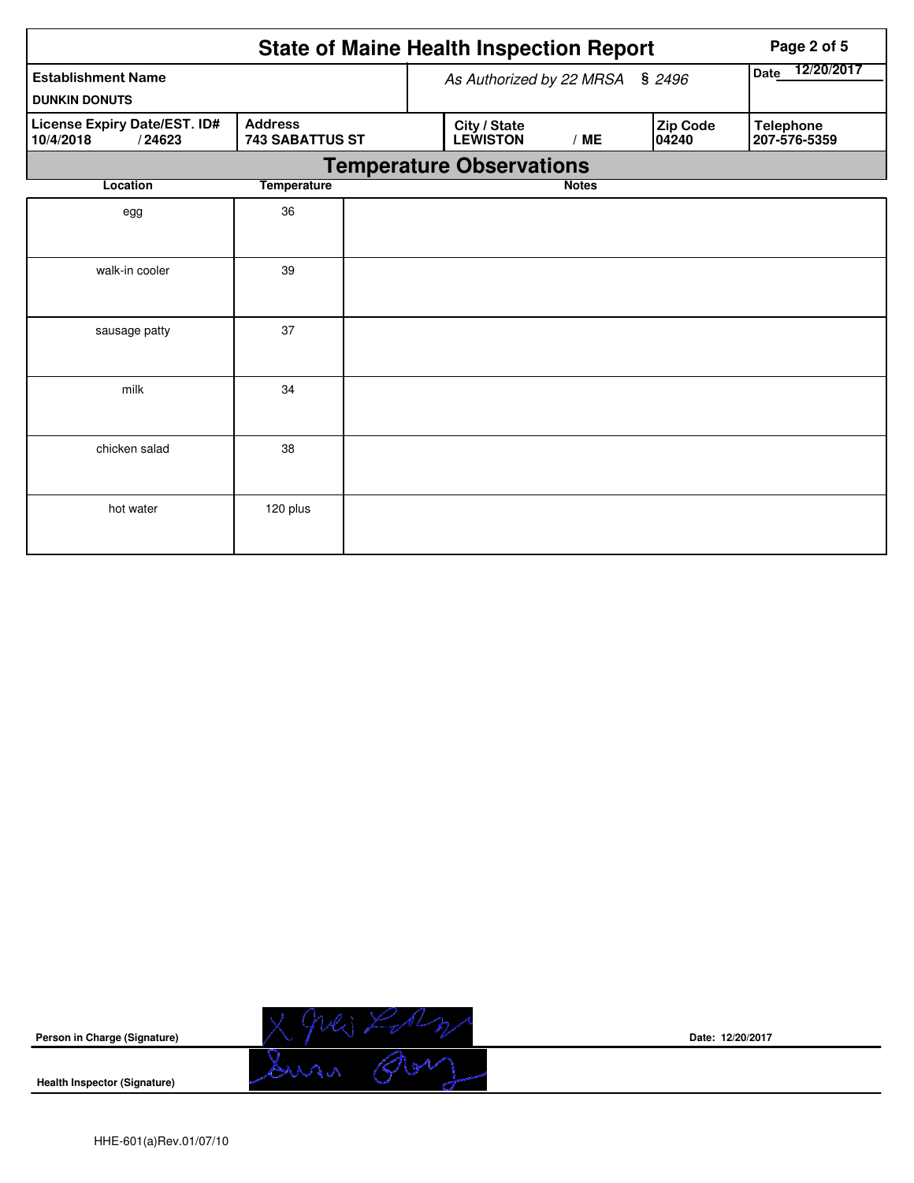|                                                     |                        |                                 | <b>State of Maine Health Inspection Report</b> | Page 2 of 5        |                                  |  |
|-----------------------------------------------------|------------------------|---------------------------------|------------------------------------------------|--------------------|----------------------------------|--|
| <b>Establishment Name</b>                           |                        |                                 | As Authorized by 22 MRSA § 2496                | 12/20/2017<br>Date |                                  |  |
| <b>DUNKIN DONUTS</b>                                |                        |                                 |                                                |                    |                                  |  |
| License Expiry Date/EST. ID#<br>10/4/2018<br>/24623 | <b>743 SABATTUS ST</b> | City / State<br><b>LEWISTON</b> | /ME                                            | Zip Code<br>04240  | <b>Telephone</b><br>207-576-5359 |  |
|                                                     |                        |                                 | <b>Temperature Observations</b>                |                    |                                  |  |
| Location                                            | <b>Temperature</b>     |                                 |                                                | <b>Notes</b>       |                                  |  |
| egg                                                 | 36                     |                                 |                                                |                    |                                  |  |
| walk-in cooler                                      | 39                     |                                 |                                                |                    |                                  |  |
| sausage patty                                       | 37                     |                                 |                                                |                    |                                  |  |
| milk                                                | 34                     |                                 |                                                |                    |                                  |  |
| chicken salad                                       | 38                     |                                 |                                                |                    |                                  |  |
| hot water                                           | 120 plus               |                                 |                                                |                    |                                  |  |



**Date: 12/20/2017**

**Health Inspector (Signature)**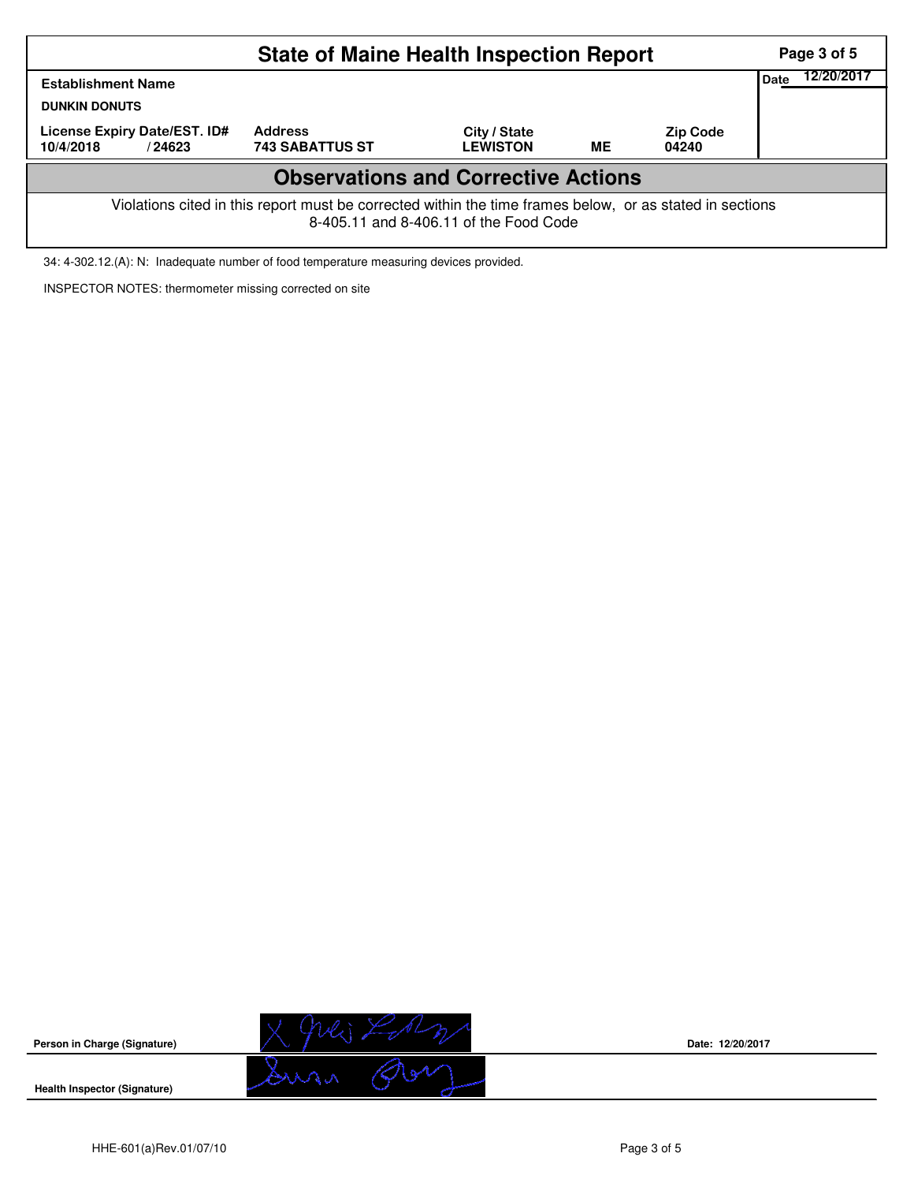|                                                                                                                                                    |                                          | Page 3 of 5<br>12/20/2017       |           |                          |  |  |  |  |  |
|----------------------------------------------------------------------------------------------------------------------------------------------------|------------------------------------------|---------------------------------|-----------|--------------------------|--|--|--|--|--|
| <b>Establishment Name</b><br><b>DUNKIN DONUTS</b>                                                                                                  |                                          |                                 |           |                          |  |  |  |  |  |
| License Expiry Date/EST. ID#<br>10/4/2018<br>/24623                                                                                                | <b>Address</b><br><b>743 SABATTUS ST</b> | City / State<br><b>LEWISTON</b> | <b>ME</b> | <b>Zip Code</b><br>04240 |  |  |  |  |  |
| <b>Observations and Corrective Actions</b>                                                                                                         |                                          |                                 |           |                          |  |  |  |  |  |
| Violations cited in this report must be corrected within the time frames below, or as stated in sections<br>8-405.11 and 8-406.11 of the Food Code |                                          |                                 |           |                          |  |  |  |  |  |

34: 4-302.12.(A): N: Inadequate number of food temperature measuring devices provided.

INSPECTOR NOTES: thermometer missing corrected on site



**Date: 12/20/2017**

**Health Inspector (Signature)**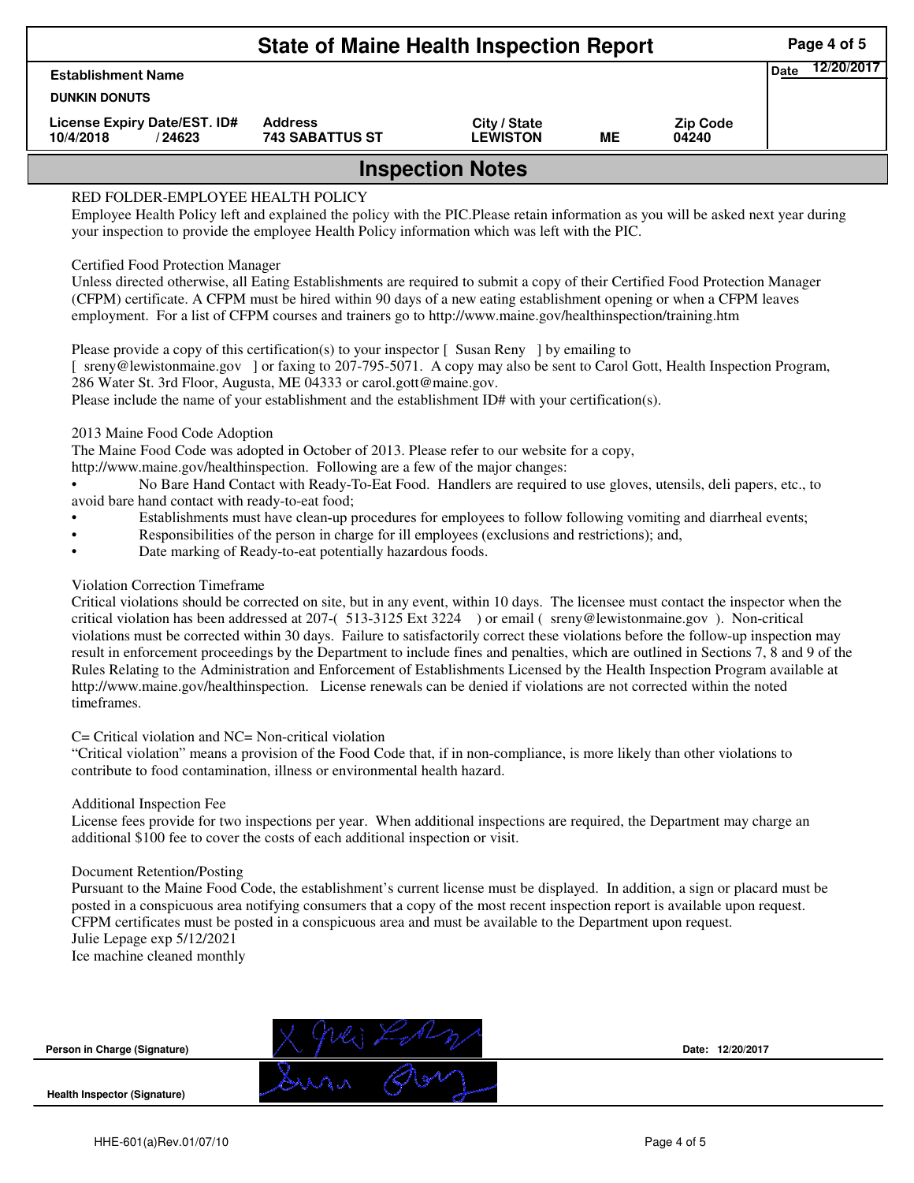| <b>State of Maine Health Inspection Report</b>                                                                                                                                                                                                                                                   |                                          |                                 |    |                          |  |  |  |  |  |
|--------------------------------------------------------------------------------------------------------------------------------------------------------------------------------------------------------------------------------------------------------------------------------------------------|------------------------------------------|---------------------------------|----|--------------------------|--|--|--|--|--|
| <b>Establishment Name</b>                                                                                                                                                                                                                                                                        |                                          |                                 |    |                          |  |  |  |  |  |
| <b>DUNKIN DONUTS</b>                                                                                                                                                                                                                                                                             |                                          |                                 |    |                          |  |  |  |  |  |
| License Expiry Date/EST. ID#<br>10/4/2018<br>/ 24623                                                                                                                                                                                                                                             | <b>Address</b><br><b>743 SABATTUS ST</b> | City / State<br><b>LEWISTON</b> | MЕ | <b>Zip Code</b><br>04240 |  |  |  |  |  |
| <b>Inspection Notes</b>                                                                                                                                                                                                                                                                          |                                          |                                 |    |                          |  |  |  |  |  |
| RED FOLDER-EMPLOYEE HEALTH POLICY<br>Employee Health Policy left and explained the policy with the PIC. Please retain information as you will be asked next year during<br>your inspection to provide the employee Health Policy information which was left with the PIC.                        |                                          |                                 |    |                          |  |  |  |  |  |
| <b>Certified Food Protection Manager</b><br>Unless directed otherwise, all Eating Establishments are required to submit a copy of their Certified Food Protection Manager<br>(CFPM) certificate. A CFPM must be hired within 90 days of a new eating establishment opening or when a CFPM leaves |                                          |                                 |    |                          |  |  |  |  |  |

Please provide a copy of this certification(s) to your inspector [Susan Reny ] by emailing to [ sreny@lewistonmaine.gov ] or faxing to 207-795-5071. A copy may also be sent to Carol Gott, Health Inspection Program, 286 Water St. 3rd Floor, Augusta, ME 04333 or carol.gott@maine.gov.

employment. For a list of CFPM courses and trainers go to http://www.maine.gov/healthinspection/training.htm

Please include the name of your establishment and the establishment ID# with your certification(s).

2013 Maine Food Code Adoption

The Maine Food Code was adopted in October of 2013. Please refer to our website for a copy,

http://www.maine.gov/healthinspection. Following are a few of the major changes:

• No Bare Hand Contact with Ready-To-Eat Food. Handlers are required to use gloves, utensils, deli papers, etc., to avoid bare hand contact with ready-to-eat food;

- Establishments must have clean-up procedures for employees to follow following vomiting and diarrheal events;
- Responsibilities of the person in charge for ill employees (exclusions and restrictions); and,
- Date marking of Ready-to-eat potentially hazardous foods.

## Violation Correction Timeframe

Critical violations should be corrected on site, but in any event, within 10 days. The licensee must contact the inspector when the critical violation has been addressed at 207-( 513-3125 Ext 3224 ) or email ( sreny@lewistonmaine.gov ). Non-critical violations must be corrected within 30 days. Failure to satisfactorily correct these violations before the follow-up inspection may result in enforcement proceedings by the Department to include fines and penalties, which are outlined in Sections 7, 8 and 9 of the Rules Relating to the Administration and Enforcement of Establishments Licensed by the Health Inspection Program available at http://www.maine.gov/healthinspection. License renewals can be denied if violations are not corrected within the noted timeframes.

## C= Critical violation and NC= Non-critical violation

"Critical violation" means a provision of the Food Code that, if in non-compliance, is more likely than other violations to contribute to food contamination, illness or environmental health hazard.

## Additional Inspection Fee

License fees provide for two inspections per year. When additional inspections are required, the Department may charge an additional \$100 fee to cover the costs of each additional inspection or visit.

## Document Retention/Posting

Pursuant to the Maine Food Code, the establishment's current license must be displayed. In addition, a sign or placard must be posted in a conspicuous area notifying consumers that a copy of the most recent inspection report is available upon request. CFPM certificates must be posted in a conspicuous area and must be available to the Department upon request. Julie Lepage exp 5/12/2021

Ice machine cleaned monthly